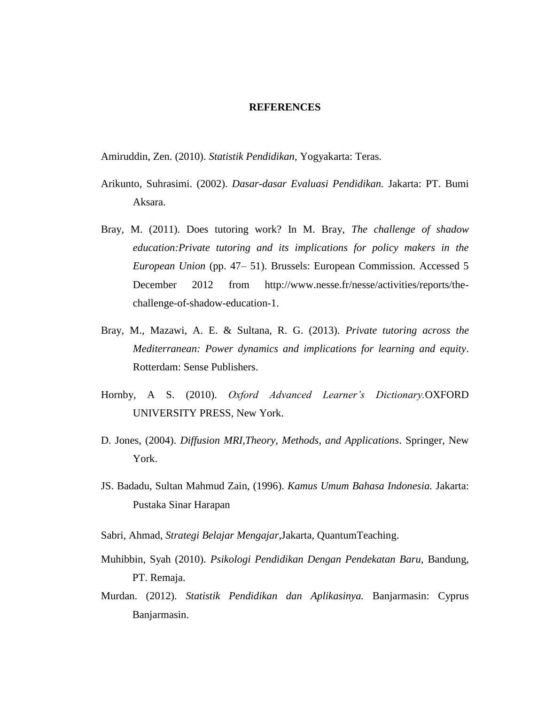## **REFERENCES**

Amiruddin, Zen. (2010). *Statistik Pendidikan,* Yogyakarta: Teras.

- Arikunto, Suhrasimi. (2002). *Dasar-dasar Evaluasi Pendidikan.* Jakarta: PT. Bumi Aksara.
- Bray, M. (2011). Does tutoring work? In M. Bray, *The challenge of shadow education:Private tutoring and its implications for policy makers in the European Union* (pp. 47– 51). Brussels: European Commission. Accessed 5 December 2012 from http://www.nesse.fr/nesse/activities/reports/thechallenge-of-shadow-education-1.
- Bray, M., Mazawi, A. E. & Sultana, R. G. (2013). *Private tutoring across the Mediterranean: Power dynamics and implications for learning and equity*. Rotterdam: Sense Publishers.
- Hornby, A S. (2010). *Oxford Advanced Learner's Dictionary.*OXFORD UNIVERSITY PRESS, New York.
- D. Jones, (2004). *Diffusion MRI,Theory, Methods, and Applications*. Springer, New York.
- JS. Badadu, Sultan Mahmud Zain, (1996). *Kamus Umum Bahasa Indonesia.* Jakarta: Pustaka Sinar Harapan
- Sabri, Ahmad, *Strategi Belajar Mengajar*,Jakarta, QuantumTeaching.
- Muhibbin, Syah (2010). *Psikologi Pendidikan Dengan Pendekatan Baru*, Bandung, PT. Remaja.
- Murdan. (2012). *Statistik Pendidikan dan Aplikasinya.* Banjarmasin: Cyprus Banjarmasin.